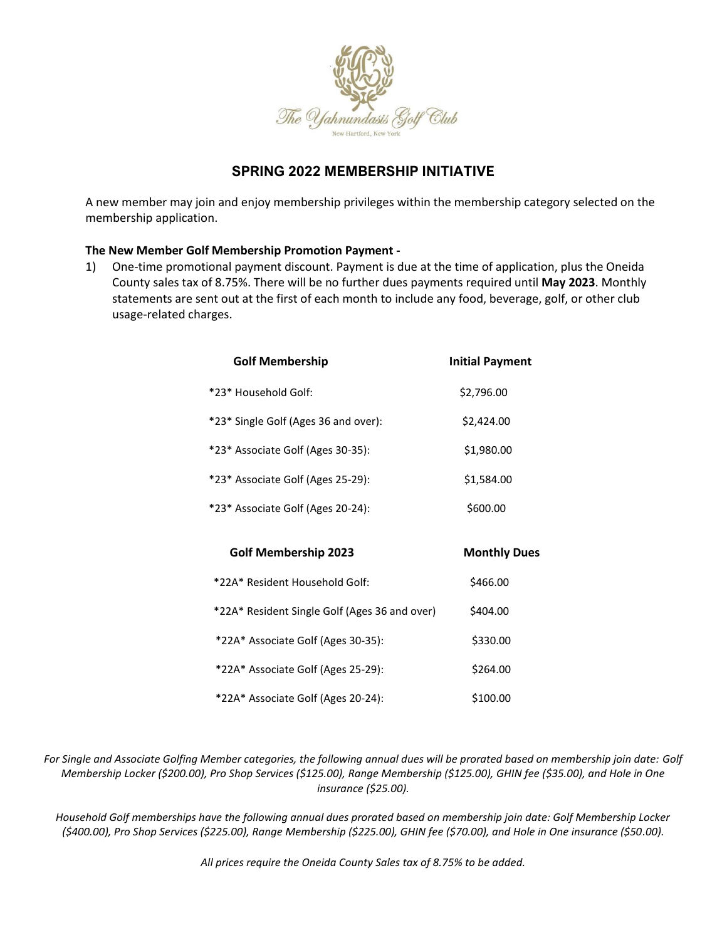

# **SPRING 2022 MEMBERSHIP INITIATIVE**

A new member may join and enjoy membership privileges within the membership category selected on the membership application.

#### **The New Member Golf Membership Promotion Payment -**

1) One-time promotional payment discount. Payment is due at the time of application, plus the Oneida County sales tax of 8.75%. There will be no further dues payments required until **May 2023**. Monthly statements are sent out at the first of each month to include any food, beverage, golf, or other club usage-related charges.

| <b>Golf Membership</b>                        | <b>Initial Payment</b> |
|-----------------------------------------------|------------------------|
| *23* Household Golf:                          | \$2,796.00             |
| *23* Single Golf (Ages 36 and over):          | \$2,424.00             |
| *23* Associate Golf (Ages 30-35):             | \$1,980.00             |
| *23* Associate Golf (Ages 25-29):             | \$1,584.00             |
| *23* Associate Golf (Ages 20-24):             | \$600.00               |
|                                               |                        |
| <b>Golf Membership 2023</b>                   | <b>Monthly Dues</b>    |
| *22A* Resident Household Golf:                | \$466.00               |
| *22A* Resident Single Golf (Ages 36 and over) | \$404.00               |
| *22A* Associate Golf (Ages 30-35):            | \$330.00               |
|                                               |                        |
| *22A* Associate Golf (Ages 25-29):            | \$264.00               |

*For Single and Associate Golfing Member categories, the following annual dues will be prorated based on membership join date: Golf Membership Locker (\$200.00), Pro Shop Services (\$125.00), Range Membership (\$125.00), GHIN fee (\$35.00), and Hole in One insurance (\$25.00).* 

*Household Golf memberships have the following annual dues prorated based on membership join date: Golf Membership Locker (\$400.00), Pro Shop Services (\$225.00), Range Membership (\$225.00), GHIN fee (\$70.00), and Hole in One insurance (\$50.00).*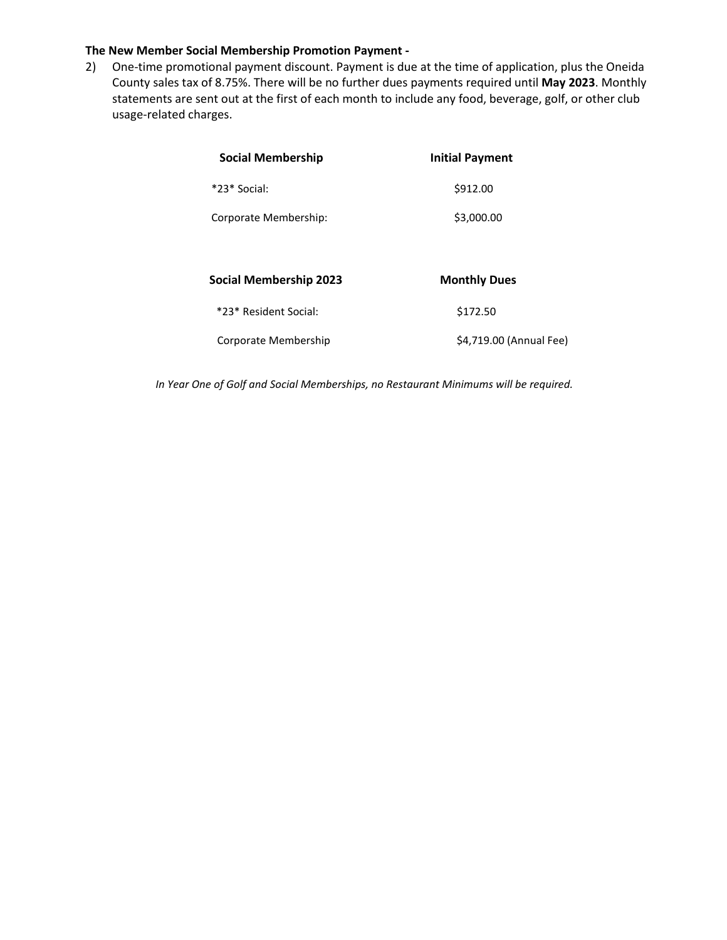#### **The New Member Social Membership Promotion Payment -**

2) One-time promotional payment discount. Payment is due at the time of application, plus the Oneida County sales tax of 8.75%. There will be no further dues payments required until **May 2023**. Monthly statements are sent out at the first of each month to include any food, beverage, golf, or other club usage-related charges.

| <b>Social Membership</b>      | <b>Initial Payment</b>  |
|-------------------------------|-------------------------|
| *23* Social:                  | \$912.00                |
| Corporate Membership:         | \$3,000.00              |
|                               |                         |
| <b>Social Membership 2023</b> | <b>Monthly Dues</b>     |
| *23* Resident Social:         | \$172.50                |
| Corporate Membership          | \$4,719.00 (Annual Fee) |

*In Year One of Golf and Social Memberships, no Restaurant Minimums will be required.*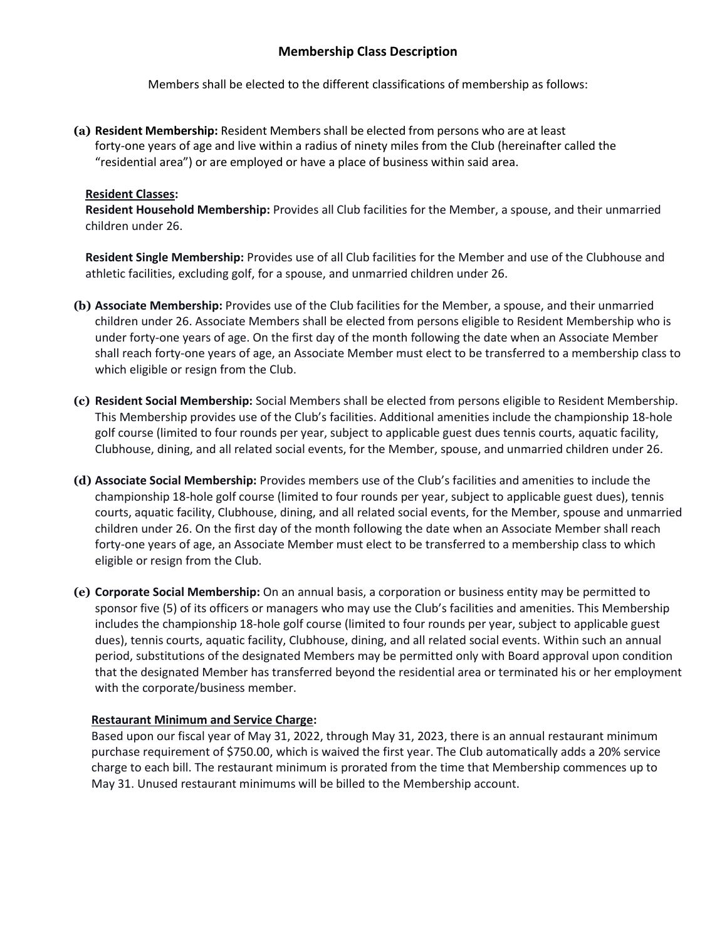# **Membership Class Description**

Members shall be elected to the different classifications of membership as follows:

**(a) Resident Membership:** Resident Members shall be elected from persons who are at least forty-one years of age and live within a radius of ninety miles from the Club (hereinafter called the "residential area") or are employed or have a place of business within said area.

#### **Resident Classes:**

**Resident Household Membership:** Provides all Club facilities for the Member, a spouse, and their unmarried children under 26.

**Resident Single Membership:** Provides use of all Club facilities for the Member and use of the Clubhouse and athletic facilities, excluding golf, for a spouse, and unmarried children under 26.

- **(b) Associate Membership:** Provides use of the Club facilities for the Member, a spouse, and their unmarried children under 26. Associate Members shall be elected from persons eligible to Resident Membership who is under forty-one years of age. On the first day of the month following the date when an Associate Member shall reach forty-one years of age, an Associate Member must elect to be transferred to a membership class to which eligible or resign from the Club.
- **(c) Resident Social Membership:** Social Members shall be elected from persons eligible to Resident Membership. This Membership provides use of the Club's facilities. Additional amenities include the championship 18-hole golf course (limited to four rounds per year, subject to applicable guest dues tennis courts, aquatic facility, Clubhouse, dining, and all related social events, for the Member, spouse, and unmarried children under 26.
- **(d) Associate Social Membership:** Provides members use of the Club's facilities and amenities to include the championship 18-hole golf course (limited to four rounds per year, subject to applicable guest dues), tennis courts, aquatic facility, Clubhouse, dining, and all related social events, for the Member, spouse and unmarried children under 26. On the first day of the month following the date when an Associate Member shall reach forty-one years of age, an Associate Member must elect to be transferred to a membership class to which eligible or resign from the Club.
- **(e) Corporate Social Membership:** On an annual basis, a corporation or business entity may be permitted to sponsor five (5) of its officers or managers who may use the Club's facilities and amenities. This Membership includes the championship 18-hole golf course (limited to four rounds per year, subject to applicable guest dues), tennis courts, aquatic facility, Clubhouse, dining, and all related social events. Within such an annual period, substitutions of the designated Members may be permitted only with Board approval upon condition that the designated Member has transferred beyond the residential area or terminated his or her employment with the corporate/business member.

#### **Restaurant Minimum and Service Charge:**

Based upon our fiscal year of May 31, 2022, through May 31, 2023, there is an annual restaurant minimum purchase requirement of \$750.00, which is waived the first year. The Club automatically adds a 20% service charge to each bill. The restaurant minimum is prorated from the time that Membership commences up to May 31. Unused restaurant minimums will be billed to the Membership account.